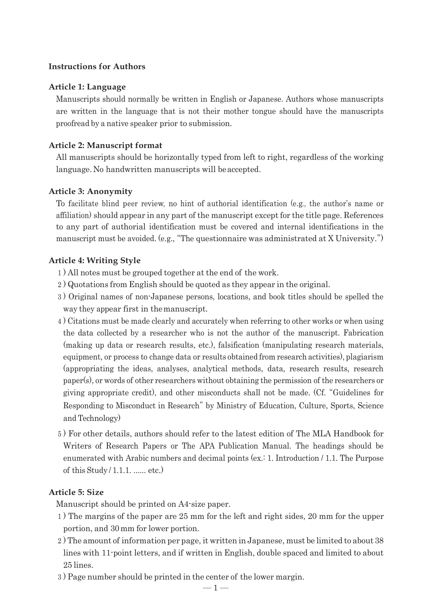### **Instructions for Authors**

#### **Article 1: Language**

Manuscripts should normally be written in English or Japanese. Authors whose manuscripts are written in the language that is not their mother tongue should have the manuscripts proofread by a native speaker prior to submission.

#### **Article 2: Manuscript format**

All manuscripts should be horizontally typed from left to right, regardless of the working language. No handwritten manuscripts will beaccepted.

#### **Article 3: Anonymity**

To facilitate blind peer review, no hint of authorial identification (e.g., the author's name or affiliation) should appear in any part of the manuscript except for the title page. References to any part of authorial identification must be covered and internal identifications in the manuscript must be avoided. (e.g., "The questionnaire was administrated at X University.")

# **Article 4: Writing Style**

1 ) All notes must be grouped together at the end of the work.

- 2 ) Quotations from English should be quoted as they appear in the original.
- 3 ) Original names of non-Japanese persons, locations, and book titles should be spelled the way they appear first in themanuscript.
- 4 ) Citations must be made clearly and accurately when referring to other works or when using the data collected by a researcher who is not the author of the manuscript. Fabrication (making up data or research results, etc.), falsification (manipulating research materials, equipment, or process to change data or results obtained from research activities), plagiarism (appropriating the ideas, analyses, analytical methods, data, research results, research paper(s), or words of other researchers without obtaining the permission of the researchers or giving appropriate credit), and other misconducts shall not be made. (Cf. "Guidelines for Responding to Misconduct in Research" by Ministry of Education, Culture, Sports, Science and Technology)
- 5 ) For other details, authors should refer to the latest edition of The MLA Handbook for Writers of Research Papers or The APA Publication Manual. The headings should be enumerated with Arabic numbers and decimal points (ex.: 1. Introduction / 1.1. The Purpose of this Study / 1.1.1. ...... etc.)

#### **Article 5: Size**

Manuscript should be printed on A4-size paper.

- 1 ) The margins of the paper are 25 mm for the left and right sides, 20 mm for the upper portion, and 30mm for lower portion.
- 2 ) The amount of information per page, it written in Japanese, must be limited to about 38 lines with 11-point letters, and if written in English, double spaced and limited to about 25 lines.
- 3 ) Page number should be printed in the center of the lower margin.